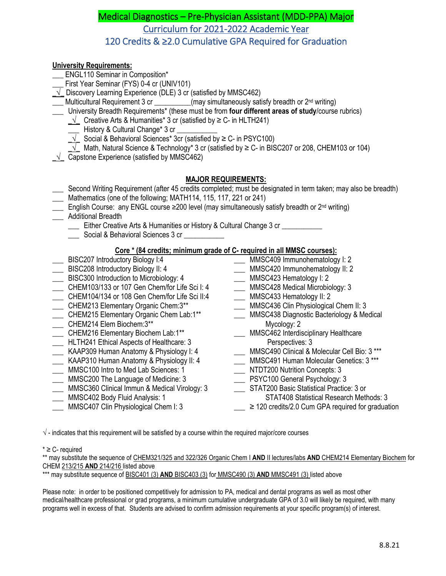# Medical Diagnostics – Pre-Physician Assistant (MDD-PPA) Major Curriculum for 2021-2022 Academic Year 120 Credits & ≥2.0 Cumulative GPA Required for Graduation

## **University Requirements:**

- ENGL110 Seminar in Composition\*
- First Year Seminar (FYS) 0-4 cr (UNIV101)
- **\_√\_** Discovery Learning Experience (DLE) 3 cr (satisfied by MMSC462)
- \_\_ Multicultural Requirement 3 cr \_\_\_\_\_\_\_\_(may simultaneously satisfy breadth or 2<sup>nd</sup> writing)
- \_\_\_ University Breadth Requirements\* (these must be from **four different areas of study**/course rubrics)
	- \_√\_ Creative Arts & Humanities\* 3 cr (satisfied by ≥ C- in HLTH241)
	- \_\_\_ History & Cultural Change\* 3 cr \_\_\_\_\_\_\_\_\_\_\_
	- $\sqrt{\phantom{a}}$  Social & Behavioral Sciences\* 3cr (satisfied by ≥ C- in PSYC100)
	- $\sqrt{\phantom{a}}$  Math, Natural Science & Technology\* 3 cr (satisfied by ≥ C- in BISC207 or 208, CHEM103 or 104)
- \_√\_ Capstone Experience (satisfied by MMSC462)

## **MAJOR REQUIREMENTS:**

- \_\_\_ Second Writing Requirement (after 45 credits completed; must be designated in term taken; may also be breadth)
- Mathematics (one of the following; MATH114, 115, 117, 221 or 241)
- \_\_\_ English Course: any ENGL course ≥200 level (may simultaneously satisfy breadth or 2nd writing)
- \_\_\_ Additional Breadth
	- \_\_\_ Either Creative Arts & Humanities or History & Cultural Change 3 cr \_\_\_\_\_\_\_\_\_\_\_
	- Social & Behavioral Sciences 3 cr

## **Core \* (84 credits; minimum grade of C- required in all MMSC courses):**

- **EXECOLER INTEGRATE:** BISC207 Introductory Biology I:4
- \_\_\_ BISC208 Introductory Biology II: 4 \_\_\_ BISC300 Introduction to Microbiology: 4
- \_\_\_ CHEM103/133 or 107 Gen Chem/for Life Sci I: 4
- \_\_\_ CHEM104/134 or 108 Gen Chem/for Life Sci II:4
- \_\_\_ CHEM213 Elementary Organic Chem:3\*\*
- \_\_\_ CHEM215 Elementary Organic Chem Lab:1\*\*
- \_\_\_ CHEM214 Elem Biochem:3\*\*
- \_\_\_ CHEM216 Elementary Biochem Lab:1\*\*
- \_\_\_ HLTH241 Ethical Aspects of Healthcare: 3
- \_\_\_ KAAP309 Human Anatomy & Physiology I: 4
- \_\_\_ KAAP310 Human Anatomy & Physiology II: 4
- \_\_\_ MMSC100 Intro to Med Lab Sciences: 1
- \_\_\_ MMSC200 The Language of Medicine: 3
- \_\_\_ MMSC360 Clinical Immun & Medical Virology: 3
- \_\_\_ MMSC402 Body Fluid Analysis: 1
- \_\_\_ MMSC407 Clin Physiological Chem I: 3
- \_\_\_ MMSC409 Immunohematology I: 2 \_\_\_ MMSC420 Immunohematology II: 2
- \_\_\_ MMSC423 Hematology I: 2
- \_\_\_ MMSC428 Medical Microbiology: 3
- \_\_\_ MMSC433 Hematology II: 2
- \_\_\_ MMSC436 Clin Physiological Chem II: 3
- \_\_\_ MMSC438 Diagnostic Bacteriology & Medical Mycology: 2
- MMSC462 Interdisciplinary Healthcare Perspectives: 3
- \_\_\_ MMSC490 Clinical & Molecular Cell Bio: 3 \*\*\*
- \_\_\_ MMSC491 Human Molecular Genetics: 3 \*\*\*
- \_\_\_ NTDT200 Nutrition Concepts: 3
- \_\_\_ PSYC100 General Psychology: 3
- STAT200 Basic Statistical Practice: 3 or
	- STAT408 Statistical Research Methods: 3
- $\sum$  ≥ 120 credits/2.0 Cum GPA required for graduation

 $\sqrt{\ }$  - indicates that this requirement will be satisfied by a course within the required major/core courses

### $* \geq C$ - required

\*\* may substitute the sequence of CHEM321/325 and 322/326 Organic Chem I **AND** II lectures/labs **AND** CHEM214 Elementary Biochem for CHEM 213/215 **AND** 214/216 listed above

\*\*\* may substitute sequence of BISC401 (3) **AND** BISC403 (3) for MMSC490 (3) **AND** MMSC491 (3) listed above

Please note: in order to be positioned competitively for admission to PA, medical and dental programs as well as most other medical/healthcare professional or grad programs, a minimum cumulative undergraduate GPA of 3.0 will likely be required, with many programs well in excess of that. Students are advised to confirm admission requirements at your specific program(s) of interest.